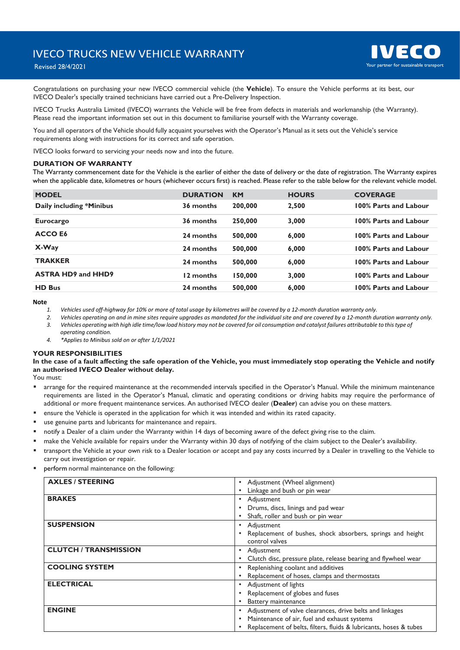

# Revised 28/4/2021

Congratulations on purchasing your new IVECO commercial vehicle (the **Vehicle**). To ensure the Vehicle performs at its best, our IVECO Dealer's specially trained technicians have carried out a Pre-Delivery Inspection.

IVECO Trucks Australia Limited (IVECO) warrants the Vehicle will be free from defects in materials and workmanship (the Warranty). Please read the important information set out in this document to familiarise yourself with the Warranty coverage.

You and all operators of the Vehicle should fully acquaint yourselves with the Operator's Manual as it sets out the Vehicle's service requirements along with instructions for its correct and safe operation.

IVECO looks forward to servicing your needs now and into the future.

### **DURATION OF WARRANTY**

The Warranty commencement date for the Vehicle is the earlier of either the date of delivery or the date of registration. The Warranty expires when the applicable date, kilometres or hours (whichever occurs first) is reached. Please refer to the table below for the relevant vehicle model.

| <b>MODEL</b>              | <b>DURATION</b> | <b>KM</b> | <b>HOURS</b> | <b>COVERAGE</b>       |
|---------------------------|-----------------|-----------|--------------|-----------------------|
| Daily including *Minibus  | 36 months       | 200,000   | 2,500        | 100% Parts and Labour |
| <b>Eurocargo</b>          | 36 months       | 250,000   | 3,000        | 100% Parts and Labour |
| ACCO E6                   | 24 months       | 500,000   | 6.000        | 100% Parts and Labour |
| X-Way                     | 24 months       | 500,000   | 6,000        | 100% Parts and Labour |
| <b>TRAKKER</b>            | 24 months       | 500,000   | 6,000        | 100% Parts and Labour |
| <b>ASTRA HD9 and HHD9</b> | 12 months       | 150,000   | 3,000        | 100% Parts and Labour |
| <b>HD Bus</b>             | 24 months       | 500,000   | 6,000        | 100% Parts and Labour |

**Note** 

*1. Vehicles used off-highway for 10% or more of total usage by kilometres will be covered by a 12-month duration warranty only.*

*2. Vehicles operating on and in mine sites require upgrades as mandated for the individual site and are covered by a 12-month duration warranty only. 3. Vehicles operating with high idle time/low load history may not be covered for oil consumption and catalyst failures attributable to this type of operating condition.*

*4. \*Applies to Minibus sold on or after 1/1/2021*

#### **YOUR RESPONSIBILITIES**

### **In the case of a fault affecting the safe operation of the Vehicle, you must immediately stop operating the Vehicle and notify an authorised IVECO Dealer without delay.**

You must:

- arrange for the required maintenance at the recommended intervals specified in the Operator's Manual. While the minimum maintenance requirements are listed in the Operator's Manual, climatic and operating conditions or driving habits may require the performance of additional or more frequent maintenance services. An authorised IVECO dealer (**Dealer**) can advise you on these matters.
- ensure the Vehicle is operated in the application for which it was intended and within its rated capacity.
- use genuine parts and lubricants for maintenance and repairs.
- notify a Dealer of a claim under the Warranty within 14 days of becoming aware of the defect giving rise to the claim.
- make the Vehicle available for repairs under the Warranty within 30 days of notifying of the claim subject to the Dealer's availability.
- transport the Vehicle at your own risk to a Dealer location or accept and pay any costs incurred by a Dealer in travelling to the Vehicle to carry out investigation or repair.
- perform normal maintenance on the following:

| <b>AXLES / STEERING</b>      | • Adjustment (Wheel alignment)                                                 |
|------------------------------|--------------------------------------------------------------------------------|
|                              | Linkage and bush or pin wear<br>$\bullet$                                      |
| <b>BRAKES</b>                | Adjustment<br>$\bullet$                                                        |
|                              | Drums, discs, linings and pad wear<br>$\bullet$                                |
|                              | Shaft, roller and bush or pin wear<br>$\bullet$                                |
| <b>SUSPENSION</b>            | Adjustment<br>$\bullet$                                                        |
|                              | Replacement of bushes, shock absorbers, springs and height<br>$\bullet$        |
|                              | control valves                                                                 |
| <b>CLUTCH / TRANSMISSION</b> | Adjustment<br>$\bullet$                                                        |
|                              | Clutch disc, pressure plate, release bearing and flywheel wear<br>$\bullet$    |
| <b>COOLING SYSTEM</b>        | Replenishing coolant and additives<br>$\bullet$                                |
|                              | Replacement of hoses, clamps and thermostats<br>$\bullet$                      |
| <b>ELECTRICAL</b>            | Adjustment of lights<br>$\bullet$                                              |
|                              | Replacement of globes and fuses<br>$\bullet$                                   |
|                              | Battery maintenance<br>$\bullet$                                               |
| <b>ENGINE</b>                | Adjustment of valve clearances, drive belts and linkages<br>$\bullet$          |
|                              | Maintenance of air, fuel and exhaust systems<br>$\bullet$                      |
|                              | Replacement of belts, filters, fluids & lubricants, hoses & tubes<br>$\bullet$ |